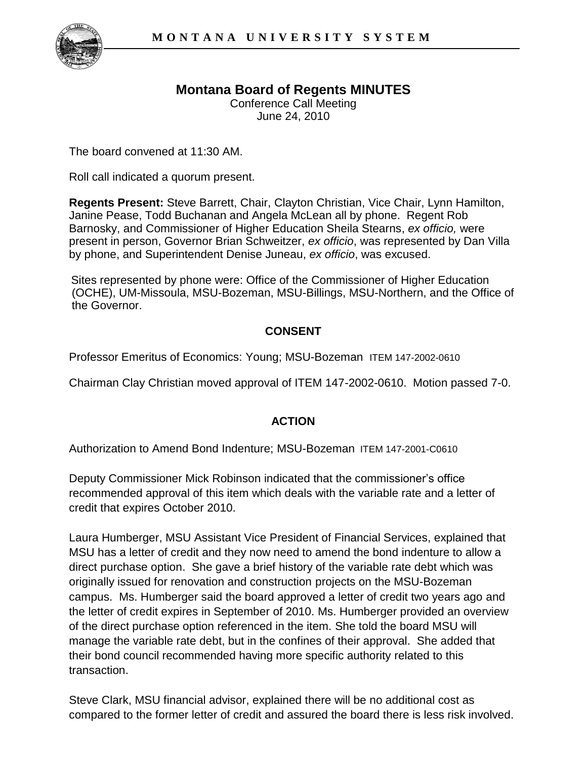

## **Montana Board of Regents MINUTES**

Conference Call Meeting June 24, 2010

The board convened at 11:30 AM.

Roll call indicated a quorum present.

**Regents Present:** Steve Barrett, Chair, Clayton Christian, Vice Chair, Lynn Hamilton, Janine Pease, Todd Buchanan and Angela McLean all by phone. Regent Rob Barnosky, and Commissioner of Higher Education Sheila Stearns, *ex officio,* were present in person, Governor Brian Schweitzer, *ex officio*, was represented by Dan Villa by phone, and Superintendent Denise Juneau, *ex officio*, was excused.

Sites represented by phone were: Office of the Commissioner of Higher Education (OCHE), UM-Missoula, MSU-Bozeman, MSU-Billings, MSU-Northern, and the Office of the Governor.

## **CONSENT**

Professor Emeritus of Economics: Young; MSU-Bozeman ITEM 147-2002-0610

Chairman Clay Christian moved approval of ITEM 147-2002-0610. Motion passed 7-0.

## **ACTION**

Authorization to Amend Bond Indenture; MSU-Bozeman ITEM 147-2001-C0610

Deputy Commissioner Mick Robinson indicated that the commissioner's office recommended approval of this item which deals with the variable rate and a letter of credit that expires October 2010.

Laura Humberger, MSU Assistant Vice President of Financial Services, explained that MSU has a letter of credit and they now need to amend the bond indenture to allow a direct purchase option. She gave a brief history of the variable rate debt which was originally issued for renovation and construction projects on the MSU-Bozeman campus. Ms. Humberger said the board approved a letter of credit two years ago and the letter of credit expires in September of 2010. Ms. Humberger provided an overview of the direct purchase option referenced in the item. She told the board MSU will manage the variable rate debt, but in the confines of their approval. She added that their bond council recommended having more specific authority related to this transaction.

Steve Clark, MSU financial advisor, explained there will be no additional cost as compared to the former letter of credit and assured the board there is less risk involved.